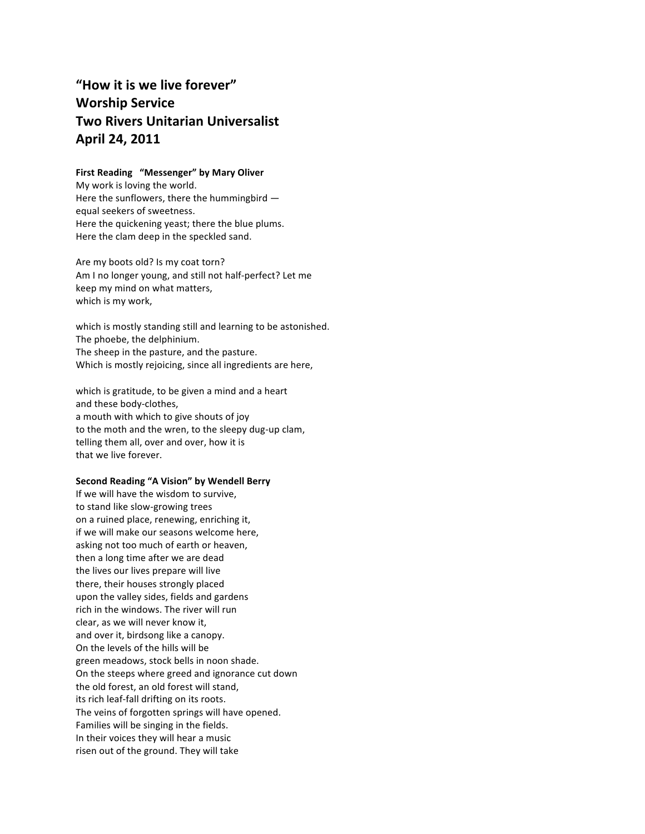# "How it is we live forever" **Worship%Service Two%Rivers%Unitarian%Universalist April%24,%2011**

#### **First Reading "Messenger" by Mary Oliver**

My work is loving the world. Here the sunflowers, there the hummingbird  $$ equal seekers of sweetness. Here the quickening yeast; there the blue plums. Here the clam deep in the speckled sand.

Are my boots old? Is my coat torn? Am I no longer young, and still not half-perfect? Let me keep my mind on what matters, which is my work,

which is mostly standing still and learning to be astonished. The phoebe, the delphinium. The sheep in the pasture, and the pasture. Which is mostly rejoicing, since all ingredients are here,

which is gratitude, to be given a mind and a heart and these body-clothes, a mouth with which to give shouts of joy to the moth and the wren, to the sleepy dug-up clam, telling them all, over and over, how it is that we live forever.

#### **Second Reading "A Vision" by Wendell Berry**

If we will have the wisdom to survive, to stand like slow-growing trees on a ruined place, renewing, enriching it, if we will make our seasons welcome here, asking not too much of earth or heaven, then a long time after we are dead the lives our lives prepare will live there, their houses strongly placed upon the valley sides, fields and gardens rich in the windows. The river will run clear, as we will never know it, and over it, birdsong like a canopy. On the levels of the hills will be green meadows, stock bells in noon shade. On the steeps where greed and ignorance cut down the old forest, an old forest will stand, its rich leaf-fall drifting on its roots. The veins of forgotten springs will have opened. Families will be singing in the fields. In their voices they will hear a music risen out of the ground. They will take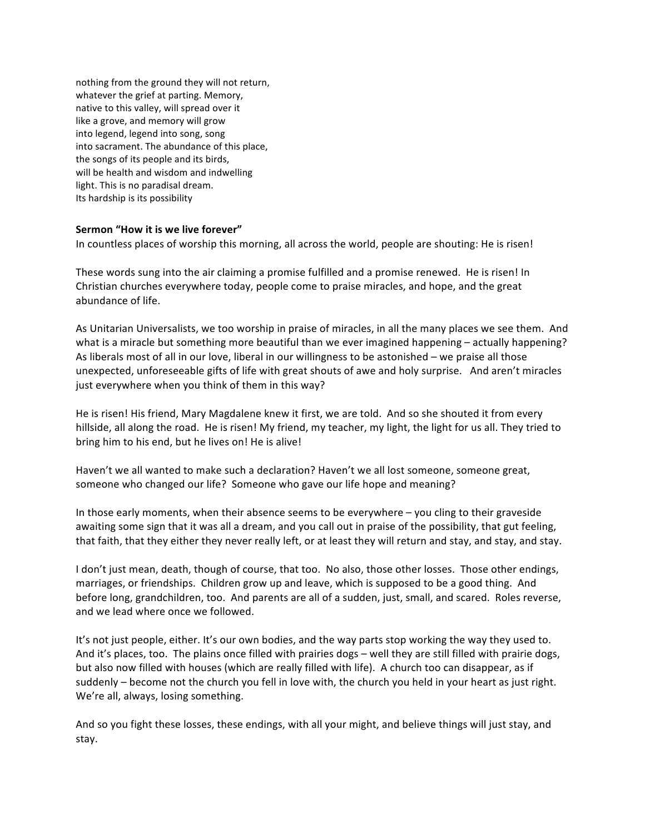nothing from the ground they will not return, whatever the grief at parting. Memory, native to this valley, will spread over it like a grove, and memory will grow into legend, legend into song, song into sacrament. The abundance of this place, the songs of its people and its birds, will be health and wisdom and indwelling light. This is no paradisal dream. Its hardship is its possibility

### Sermon "How it is we live forever"

In countless places of worship this morning, all across the world, people are shouting: He is risen!

These words sung into the air claiming a promise fulfilled and a promise renewed. He is risen! In Christian churches everywhere today, people come to praise miracles, and hope, and the great abundance of life.

As Unitarian Universalists, we too worship in praise of miracles, in all the many places we see them. And what is a miracle but something more beautiful than we ever imagined happening – actually happening? As liberals most of all in our love, liberal in our willingness to be astonished – we praise all those unexpected, unforeseeable gifts of life with great shouts of awe and holy surprise. And aren't miracles just everywhere when you think of them in this way?

He is risen! His friend, Mary Magdalene knew it first, we are told. And so she shouted it from every hillside, all along the road. He is risen! My friend, my teacher, my light, the light for us all. They tried to bring him to his end, but he lives on! He is alive!

Haven't we all wanted to make such a declaration? Haven't we all lost someone, someone great, someone who changed our life? Someone who gave our life hope and meaning?

In those early moments, when their absence seems to be everywhere  $-$  you cling to their graveside awaiting some sign that it was all a dream, and you call out in praise of the possibility, that gut feeling, that faith, that they either they never really left, or at least they will return and stay, and stay, and stay.

I don't just mean, death, though of course, that too. No also, those other losses. Those other endings, marriages, or friendships. Children grow up and leave, which is supposed to be a good thing. And before long, grandchildren, too. And parents are all of a sudden, just, small, and scared. Roles reverse, and we lead where once we followed.

It's not just people, either. It's our own bodies, and the way parts stop working the way they used to. And it's places, too. The plains once filled with prairies dogs – well they are still filled with prairie dogs, but also now filled with houses (which are really filled with life). A church too can disappear, as if suddenly – become not the church you fell in love with, the church you held in your heart as just right. We're all, always, losing something.

And so you fight these losses, these endings, with all your might, and believe things will just stay, and stay.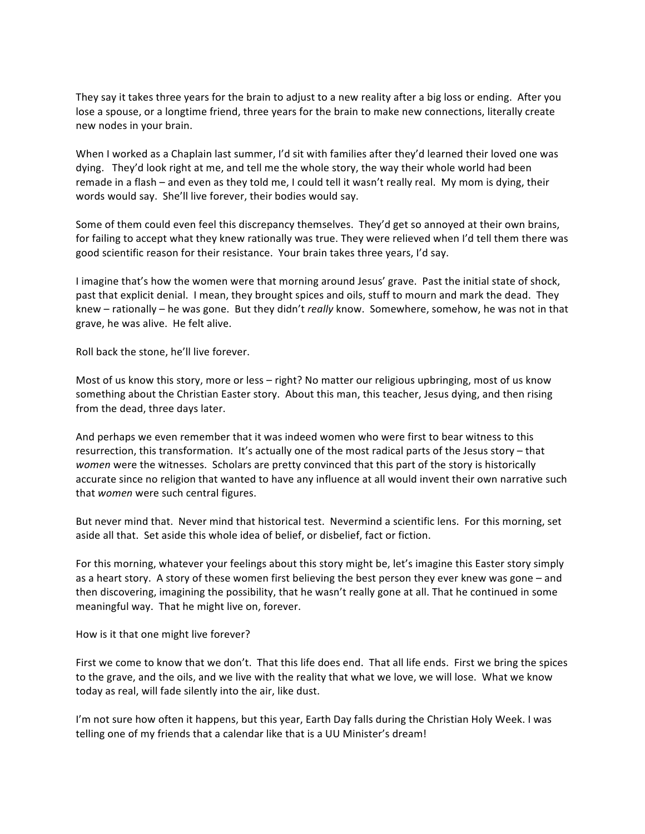They say it takes three years for the brain to adjust to a new reality after a big loss or ending. After you lose a spouse, or a longtime friend, three years for the brain to make new connections, literally create new nodes in your brain.

When I worked as a Chaplain last summer, I'd sit with families after they'd learned their loved one was dying. They'd look right at me, and tell me the whole story, the way their whole world had been remade in a flash – and even as they told me, I could tell it wasn't really real. My mom is dying, their words would say. She'll live forever, their bodies would say.

Some of them could even feel this discrepancy themselves. They'd get so annoyed at their own brains, for failing to accept what they knew rationally was true. They were relieved when I'd tell them there was good scientific reason for their resistance. Your brain takes three years, I'd say.

I imagine that's how the women were that morning around Jesus' grave. Past the initial state of shock, past that explicit denial. I mean, they brought spices and oils, stuff to mourn and mark the dead. They knew – rationally – he was gone. But they didn't *really* know. Somewhere, somehow, he was not in that grave, he was alive. He felt alive.

Roll back the stone, he'll live forever.

Most of us know this story, more or less – right? No matter our religious upbringing, most of us know something about the Christian Easter story. About this man, this teacher, Jesus dying, and then rising from the dead, three days later.

And perhaps we even remember that it was indeed women who were first to bear witness to this resurrection, this transformation. It's actually one of the most radical parts of the Jesus story – that *women* were the witnesses. Scholars are pretty convinced that this part of the story is historically accurate since no religion that wanted to have any influence at all would invent their own narrative such that *women* were such central figures.

But never mind that. Never mind that historical test. Nevermind a scientific lens. For this morning, set aside all that. Set aside this whole idea of belief, or disbelief, fact or fiction.

For this morning, whatever your feelings about this story might be, let's imagine this Easter story simply as a heart story. A story of these women first believing the best person they ever knew was gone – and then discovering, imagining the possibility, that he wasn't really gone at all. That he continued in some meaningful way. That he might live on, forever.

How is it that one might live forever?

First we come to know that we don't. That this life does end. That all life ends. First we bring the spices to the grave, and the oils, and we live with the reality that what we love, we will lose. What we know today as real, will fade silently into the air, like dust.

I'm not sure how often it happens, but this year, Earth Day falls during the Christian Holy Week. I was telling one of my friends that a calendar like that is a UU Minister's dream!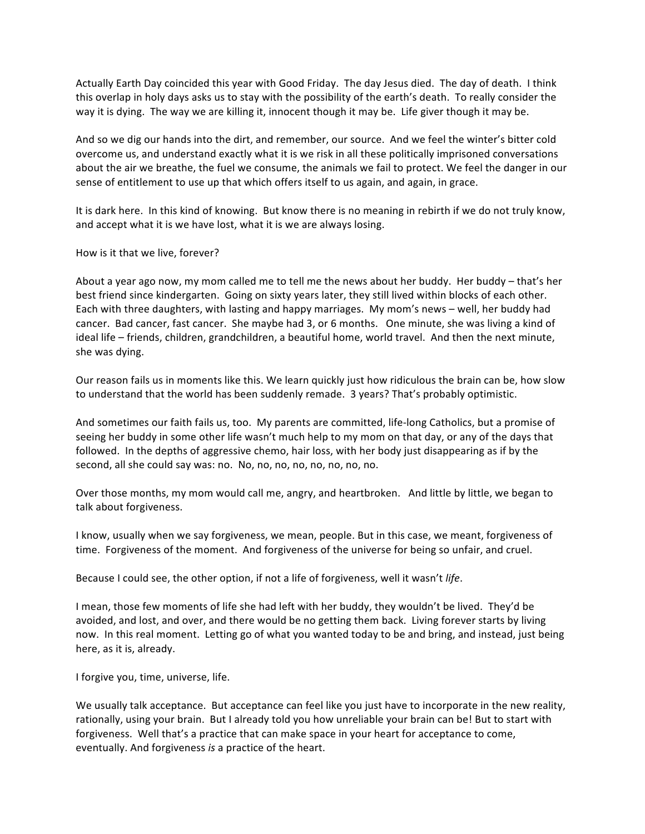Actually Earth Day coincided this year with Good Friday. The day Jesus died. The day of death. I think this overlap in holy days asks us to stay with the possibility of the earth's death. To really consider the way it is dying. The way we are killing it, innocent though it may be. Life giver though it may be.

And so we dig our hands into the dirt, and remember, our source. And we feel the winter's bitter cold overcome us, and understand exactly what it is we risk in all these politically imprisoned conversations about the air we breathe, the fuel we consume, the animals we fail to protect. We feel the danger in our sense of entitlement to use up that which offers itself to us again, and again, in grace.

It is dark here. In this kind of knowing. But know there is no meaning in rebirth if we do not truly know, and accept what it is we have lost, what it is we are always losing.

How is it that we live, forever?

About a year ago now, my mom called me to tell me the news about her buddy. Her buddy – that's her best friend since kindergarten. Going on sixty years later, they still lived within blocks of each other. Each with three daughters, with lasting and happy marriages. My mom's news – well, her buddy had cancer. Bad cancer, fast cancer. She maybe had 3, or 6 months. One minute, she was living a kind of ideal life – friends, children, grandchildren, a beautiful home, world travel. And then the next minute, she was dying.

Our reason fails us in moments like this. We learn quickly just how ridiculous the brain can be, how slow to understand that the world has been suddenly remade. 3 years? That's probably optimistic.

And sometimes our faith fails us, too. My parents are committed, life-long Catholics, but a promise of seeing her buddy in some other life wasn't much help to my mom on that day, or any of the days that followed. In the depths of aggressive chemo, hair loss, with her body just disappearing as if by the second, all she could say was: no. No, no, no, no, no, no, no, no.

Over those months, my mom would call me, angry, and heartbroken. And little by little, we began to talk about forgiveness.

I know, usually when we say forgiveness, we mean, people. But in this case, we meant, forgiveness of time. Forgiveness of the moment. And forgiveness of the universe for being so unfair, and cruel.

Because I could see, the other option, if not a life of forgiveness, well it wasn't *life*.

I mean, those few moments of life she had left with her buddy, they wouldn't be lived. They'd be avoided, and lost, and over, and there would be no getting them back. Living forever starts by living now. In this real moment. Letting go of what you wanted today to be and bring, and instead, just being here, as it is, already.

I forgive you, time, universe, life.

We usually talk acceptance. But acceptance can feel like you just have to incorporate in the new reality, rationally, using your brain. But I already told you how unreliable your brain can be! But to start with forgiveness. Well that's a practice that can make space in your heart for acceptance to come, eventually. And forgiveness *is* a practice of the heart.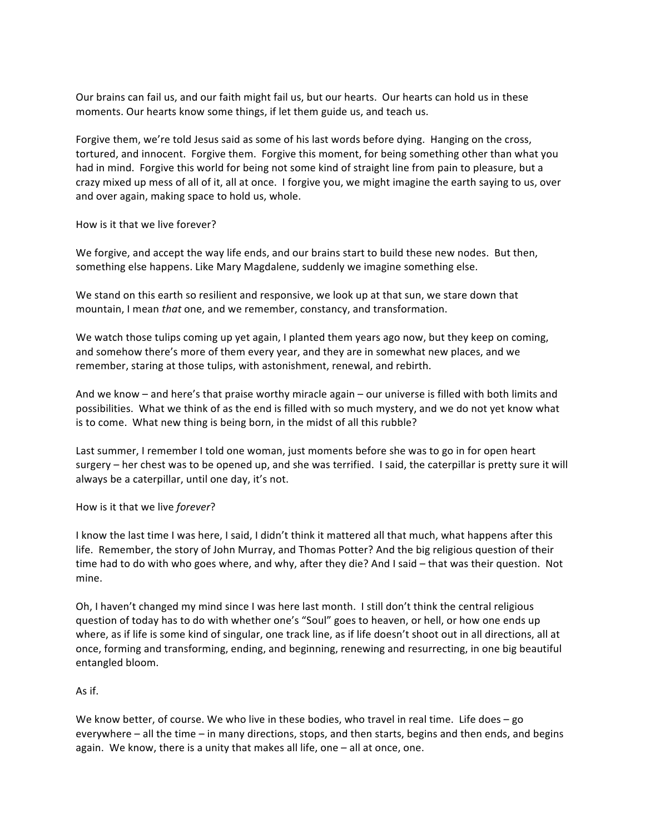Our brains can fail us, and our faith might fail us, but our hearts. Our hearts can hold us in these moments. Our hearts know some things, if let them guide us, and teach us.

Forgive them, we're told Jesus said as some of his last words before dying. Hanging on the cross, tortured, and innocent. Forgive them. Forgive this moment, for being something other than what you had in mind. Forgive this world for being not some kind of straight line from pain to pleasure, but a crazy mixed up mess of all of it, all at once. I forgive you, we might imagine the earth saying to us, over and over again, making space to hold us, whole.

How is it that we live forever?

We forgive, and accept the way life ends, and our brains start to build these new nodes. But then, something else happens. Like Mary Magdalene, suddenly we imagine something else.

We stand on this earth so resilient and responsive, we look up at that sun, we stare down that mountain, I mean *that* one, and we remember, constancy, and transformation.

We watch those tulips coming up yet again, I planted them years ago now, but they keep on coming, and somehow there's more of them every year, and they are in somewhat new places, and we remember, staring at those tulips, with astonishment, renewal, and rebirth.

And we know – and here's that praise worthy miracle again – our universe is filled with both limits and possibilities. What we think of as the end is filled with so much mystery, and we do not yet know what is to come. What new thing is being born, in the midst of all this rubble?

Last summer, I remember I told one woman, just moments before she was to go in for open heart surgery – her chest was to be opened up, and she was terrified. I said, the caterpillar is pretty sure it will always be a caterpillar, until one day, it's not.

How is it that we live *forever*?

I know the last time I was here, I said, I didn't think it mattered all that much, what happens after this life. Remember, the story of John Murray, and Thomas Potter? And the big religious question of their time had to do with who goes where, and why, after they die? And I said – that was their question. Not mine.

Oh, I haven't changed my mind since I was here last month. I still don't think the central religious question of today has to do with whether one's "Soul" goes to heaven, or hell, or how one ends up where, as if life is some kind of singular, one track line, as if life doesn't shoot out in all directions, all at once, forming and transforming, ending, and beginning, renewing and resurrecting, in one big beautiful entangled bloom.

## As if.

We know better, of course. We who live in these bodies, who travel in real time. Life does – go everywhere – all the time – in many directions, stops, and then starts, begins and then ends, and begins again. We know, there is a unity that makes all life, one  $-$  all at once, one.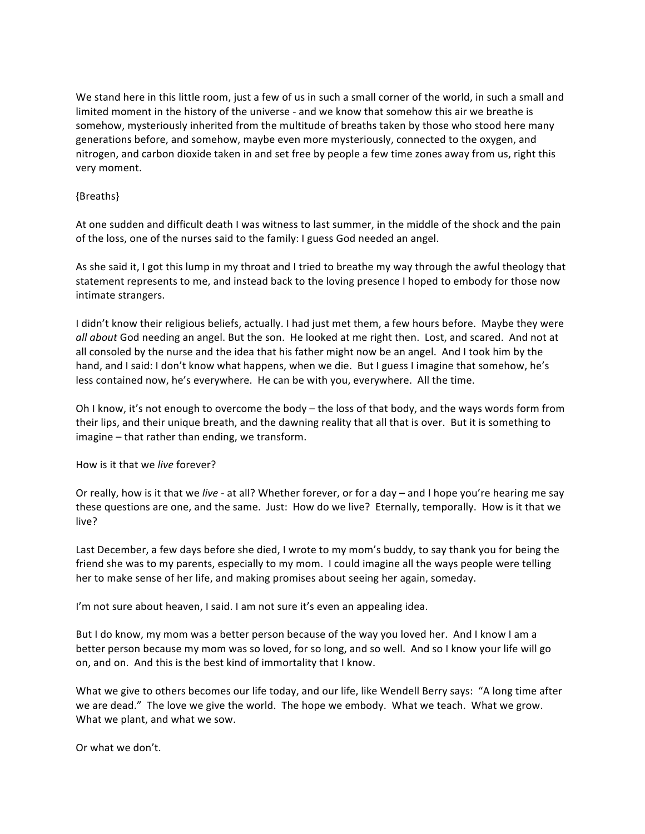We stand here in this little room, just a few of us in such a small corner of the world, in such a small and limited moment in the history of the universe - and we know that somehow this air we breathe is somehow, mysteriously inherited from the multitude of breaths taken by those who stood here many generations before, and somehow, maybe even more mysteriously, connected to the oxygen, and nitrogen, and carbon dioxide taken in and set free by people a few time zones away from us, right this very moment.

## {Breaths}

At one sudden and difficult death I was witness to last summer, in the middle of the shock and the pain of the loss, one of the nurses said to the family: I guess God needed an angel.

As she said it, I got this lump in my throat and I tried to breathe my way through the awful theology that statement represents to me, and instead back to the loving presence I hoped to embody for those now intimate strangers.

I didn't know their religious beliefs, actually. I had just met them, a few hours before. Maybe they were *all about* God needing an angel. But the son. He looked at me right then. Lost, and scared. And not at all consoled by the nurse and the idea that his father might now be an angel. And I took him by the hand, and I said: I don't know what happens, when we die. But I guess I imagine that somehow, he's less contained now, he's everywhere. He can be with you, everywhere. All the time.

Oh I know, it's not enough to overcome the body – the loss of that body, and the ways words form from their lips, and their unique breath, and the dawning reality that all that is over. But it is something to  $imagine$  – that rather than ending, we transform.

How is it that we *live* forever?

Or really, how is it that we *live* - at all? Whether forever, or for a day – and I hope you're hearing me say these questions are one, and the same. Just: How do we live? Eternally, temporally. How is it that we live?

Last December, a few days before she died, I wrote to my mom's buddy, to say thank you for being the friend she was to my parents, especially to my mom. I could imagine all the ways people were telling her to make sense of her life, and making promises about seeing her again, someday.

I'm not sure about heaven, I said. I am not sure it's even an appealing idea.

But I do know, my mom was a better person because of the way you loved her. And I know I am a better person because my mom was so loved, for so long, and so well. And so I know your life will go on, and on. And this is the best kind of immortality that I know.

What we give to others becomes our life today, and our life, like Wendell Berry says: "A long time after we are dead." The love we give the world. The hope we embody. What we teach. What we grow. What we plant, and what we sow.

Or what we don't.